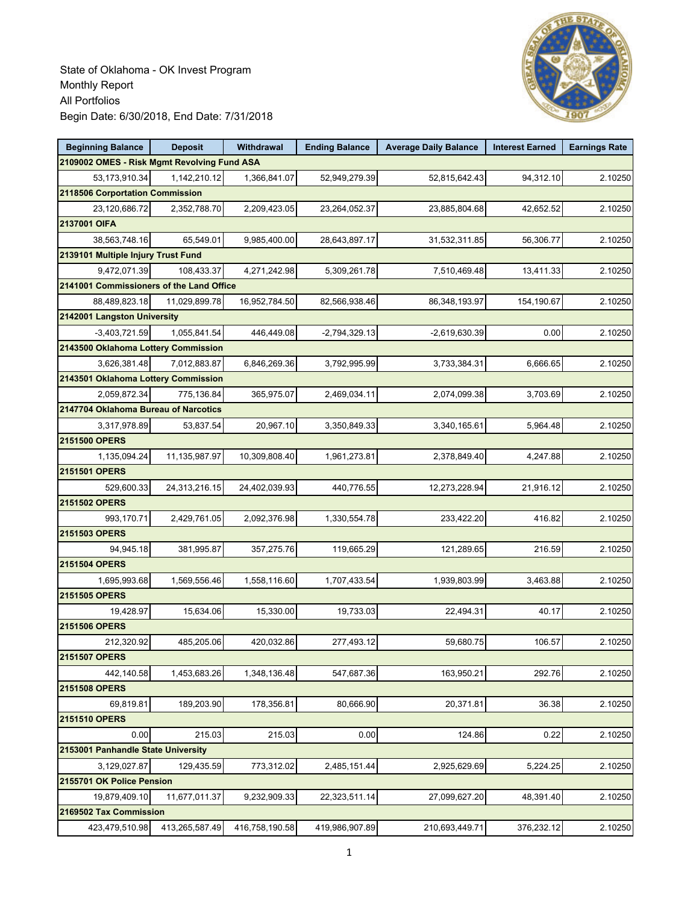

| <b>Beginning Balance</b>                    | <b>Deposit</b> | Withdrawal     | <b>Ending Balance</b> | <b>Average Daily Balance</b> | <b>Interest Earned</b> | <b>Earnings Rate</b> |
|---------------------------------------------|----------------|----------------|-----------------------|------------------------------|------------------------|----------------------|
| 2109002 OMES - Risk Mgmt Revolving Fund ASA |                |                |                       |                              |                        |                      |
| 53,173,910.34                               | 1,142,210.12   | 1,366,841.07   | 52,949,279.39         | 52,815,642.43                | 94,312.10              | 2.10250              |
| 2118506 Corportation Commission             |                |                |                       |                              |                        |                      |
| 23,120,686.72                               | 2,352,788.70   | 2,209,423.05   | 23,264,052.37         | 23,885,804.68                | 42,652.52              | 2.10250              |
| 2137001 OIFA                                |                |                |                       |                              |                        |                      |
| 38,563,748.16                               | 65,549.01      | 9,985,400.00   | 28,643,897.17         | 31,532,311.85                | 56,306.77              | 2.10250              |
| 2139101 Multiple Injury Trust Fund          |                |                |                       |                              |                        |                      |
| 9,472,071.39                                | 108,433.37     | 4,271,242.98   | 5,309,261.78          | 7,510,469.48                 | 13,411.33              | 2.10250              |
| 2141001 Commissioners of the Land Office    |                |                |                       |                              |                        |                      |
| 88,489,823.18                               | 11.029.899.78  | 16,952,784.50  | 82,566,938.46         | 86,348,193.97                | 154,190.67             | 2.10250              |
| 2142001 Langston University                 |                |                |                       |                              |                        |                      |
| $-3,403,721.59$                             | 1,055,841.54   | 446,449.08     | $-2,794,329.13$       | $-2,619,630.39$              | 0.00                   | 2.10250              |
| 2143500 Oklahoma Lottery Commission         |                |                |                       |                              |                        |                      |
| 3,626,381.48                                | 7,012,883.87   | 6,846,269.36   | 3,792,995.99          | 3,733,384.31                 | 6.666.65               | 2.10250              |
| 2143501 Oklahoma Lottery Commission         |                |                |                       |                              |                        |                      |
| 2,059,872.34                                | 775,136.84     | 365,975.07     | 2,469,034.11          | 2,074,099.38                 | 3,703.69               | 2.10250              |
| 2147704 Oklahoma Bureau of Narcotics        |                |                |                       |                              |                        |                      |
| 3,317,978.89                                | 53,837.54      | 20,967.10      | 3,350,849.33          | 3,340,165.61                 | 5,964.48               | 2.10250              |
| 2151500 OPERS                               |                |                |                       |                              |                        |                      |
| 1,135,094.24                                | 11,135,987.97  | 10,309,808.40  | 1,961,273.81          | 2,378,849.40                 | 4,247.88               | 2.10250              |
| 2151501 OPERS                               |                |                |                       |                              |                        |                      |
| 529,600.33                                  | 24,313,216.15  | 24,402,039.93  | 440,776.55            | 12,273,228.94                | 21,916.12              | 2.10250              |
| 2151502 OPERS                               |                |                |                       |                              |                        |                      |
| 993,170.71                                  | 2,429,761.05   | 2,092,376.98   | 1,330,554.78          | 233,422.20                   | 416.82                 | 2.10250              |
| 2151503 OPERS                               |                |                |                       |                              |                        |                      |
| 94,945.18                                   | 381,995.87     | 357,275.76     | 119,665.29            | 121,289.65                   | 216.59                 | 2.10250              |
| 2151504 OPERS                               |                |                |                       |                              |                        |                      |
| 1,695,993.68                                | 1,569,556.46   | 1,558,116.60   | 1,707,433.54          | 1,939,803.99                 | 3,463.88               | 2.10250              |
| 2151505 OPERS                               |                |                |                       |                              |                        |                      |
| 19,428.97                                   | 15,634.06      | 15,330.00      | 19,733.03             | 22,494.31                    | 40.17                  | 2.10250              |
| 2151506 OPERS                               |                |                |                       |                              |                        |                      |
| 212,320.92                                  | 485,205.06     | 420,032.86     | 277,493.12            | 59,680.75                    | 106.57                 | 2.10250              |
| <b>2151507 OPERS</b>                        |                |                |                       |                              |                        |                      |
| 442,140.58                                  | 1,453,683.26   | 1,348,136.48   | 547,687.36            | 163,950.21                   | 292.76                 | 2.10250              |
| 2151508 OPERS                               |                |                |                       |                              |                        |                      |
| 69,819.81                                   | 189,203.90     | 178,356.81     | 80,666.90             | 20,371.81                    | 36.38                  | 2.10250              |
| 2151510 OPERS                               |                |                |                       |                              |                        |                      |
| 0.00                                        | 215.03         | 215.03         | 0.00                  | 124.86                       | 0.22                   | 2.10250              |
| 2153001 Panhandle State University          |                |                |                       |                              |                        |                      |
| 3,129,027.87                                | 129,435.59     | 773,312.02     | 2,485,151.44          | 2,925,629.69                 | 5,224.25               | 2.10250              |
| 2155701 OK Police Pension                   |                |                |                       |                              |                        |                      |
| 19,879,409.10                               | 11,677,011.37  | 9,232,909.33   | 22,323,511.14         | 27,099,627.20                | 48,391.40              | 2.10250              |
| 2169502 Tax Commission                      |                |                |                       |                              |                        |                      |
| 423,479,510.98                              | 413,265,587.49 | 416,758,190.58 | 419,986,907.89        | 210,693,449.71               | 376,232.12             | 2.10250              |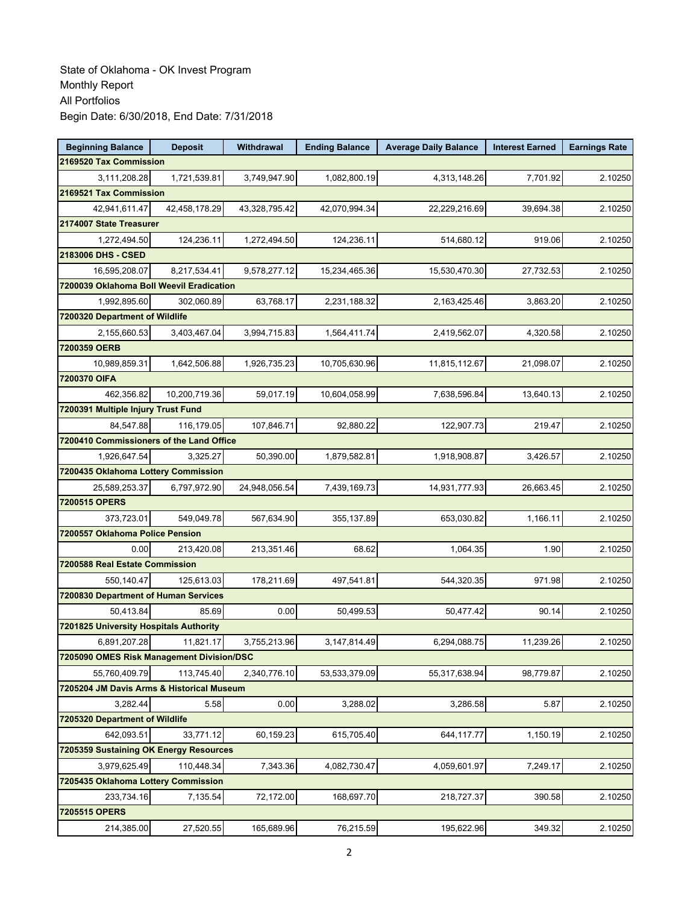| <b>Beginning Balance</b>                  | <b>Deposit</b> | Withdrawal    | <b>Ending Balance</b> | <b>Average Daily Balance</b> | <b>Interest Earned</b> | <b>Earnings Rate</b> |
|-------------------------------------------|----------------|---------------|-----------------------|------------------------------|------------------------|----------------------|
| 2169520 Tax Commission                    |                |               |                       |                              |                        |                      |
| 3,111,208.28                              | 1,721,539.81   | 3,749,947.90  | 1,082,800.19          | 4,313,148.26                 | 7,701.92               | 2.10250              |
| 2169521 Tax Commission                    |                |               |                       |                              |                        |                      |
| 42,941,611.47                             | 42,458,178.29  | 43,328,795.42 | 42,070,994.34         | 22,229,216.69                | 39,694.38              | 2.10250              |
| 2174007 State Treasurer                   |                |               |                       |                              |                        |                      |
| 1,272,494.50                              | 124,236.11     | 1,272,494.50  | 124,236.11            | 514,680.12                   | 919.06                 | 2.10250              |
| 2183006 DHS - CSED                        |                |               |                       |                              |                        |                      |
| 16,595,208.07                             | 8,217,534.41   | 9,578,277.12  | 15,234,465.36         | 15,530,470.30                | 27,732.53              | 2.10250              |
| 7200039 Oklahoma Boll Weevil Eradication  |                |               |                       |                              |                        |                      |
| 1,992,895.60                              | 302,060.89     | 63,768.17     | 2,231,188.32          | 2,163,425.46                 | 3,863.20               | 2.10250              |
| 7200320 Department of Wildlife            |                |               |                       |                              |                        |                      |
| 2,155,660.53                              | 3,403,467.04   | 3,994,715.83  | 1,564,411.74          | 2,419,562.07                 | 4,320.58               | 2.10250              |
| 7200359 OERB                              |                |               |                       |                              |                        |                      |
| 10,989,859.31                             | 1,642,506.88   | 1,926,735.23  | 10,705,630.96         | 11,815,112.67                | 21,098.07              | 2.10250              |
| 7200370 OIFA                              |                |               |                       |                              |                        |                      |
| 462,356.82                                | 10,200,719.36  | 59,017.19     | 10,604,058.99         | 7,638,596.84                 | 13,640.13              | 2.10250              |
| 7200391 Multiple Injury Trust Fund        |                |               |                       |                              |                        |                      |
| 84,547.88                                 | 116,179.05     | 107,846.71    | 92,880.22             | 122,907.73                   | 219.47                 | 2.10250              |
| 7200410 Commissioners of the Land Office  |                |               |                       |                              |                        |                      |
| 1,926,647.54                              | 3,325.27       | 50,390.00     | 1,879,582.81          | 1,918,908.87                 | 3,426.57               | 2.10250              |
| 7200435 Oklahoma Lottery Commission       |                |               |                       |                              |                        |                      |
| 25,589,253.37                             | 6,797,972.90   | 24,948,056.54 | 7,439,169.73          | 14,931,777.93                | 26,663.45              | 2.10250              |
| 7200515 OPERS                             |                |               |                       |                              |                        |                      |
| 373,723.01                                | 549,049.78     | 567,634.90    | 355,137.89            | 653,030.82                   | 1,166.11               | 2.10250              |
| 7200557 Oklahoma Police Pension           |                |               |                       |                              |                        |                      |
| 0.00                                      | 213,420.08     | 213,351.46    | 68.62                 | 1,064.35                     | 1.90                   | 2.10250              |
| 7200588 Real Estate Commission            |                |               |                       |                              |                        |                      |
| 550,140.47                                | 125,613.03     | 178,211.69    | 497,541.81            | 544,320.35                   | 971.98                 | 2.10250              |
| 7200830 Department of Human Services      |                |               |                       |                              |                        |                      |
| 50,413.84                                 | 85.69          | 0.00          | 50,499.53             | 50,477.42                    | 90.14                  | 2.10250              |
| 7201825 University Hospitals Authority    |                |               |                       |                              |                        |                      |
| 6,891,207.28                              | 11,821.17      | 3,755,213.96  | 3,147,814.49          | 6,294,088.75                 | 11,239.26              | 2.10250              |
| 7205090 OMES Risk Management Division/DSC |                |               |                       |                              |                        |                      |
| 55.760.409.79                             | 113,745.40     | 2,340,776.10  | 53,533,379.09         | 55,317,638.94                | 98,779.87              | 2.10250              |
| 7205204 JM Davis Arms & Historical Museum |                |               |                       |                              |                        |                      |
| 3,282.44                                  | 5.58           | 0.00          | 3,288.02              | 3,286.58                     | 5.87                   | 2.10250              |
| 7205320 Department of Wildlife            |                |               |                       |                              |                        |                      |
| 642,093.51                                | 33,771.12      | 60,159.23     | 615,705.40            | 644,117.77                   | 1,150.19               | 2.10250              |
| 7205359 Sustaining OK Energy Resources    |                |               |                       |                              |                        |                      |
| 3,979,625.49                              | 110,448.34     | 7,343.36      | 4,082,730.47          | 4,059,601.97                 | 7,249.17               | 2.10250              |
| 7205435 Oklahoma Lottery Commission       |                |               |                       |                              |                        |                      |
| 233,734.16                                | 7,135.54       | 72,172.00     | 168,697.70            | 218,727.37                   | 390.58                 | 2.10250              |
| 7205515 OPERS                             |                |               |                       |                              |                        |                      |
| 214,385.00                                | 27,520.55      | 165,689.96    | 76,215.59             | 195,622.96                   | 349.32                 | 2.10250              |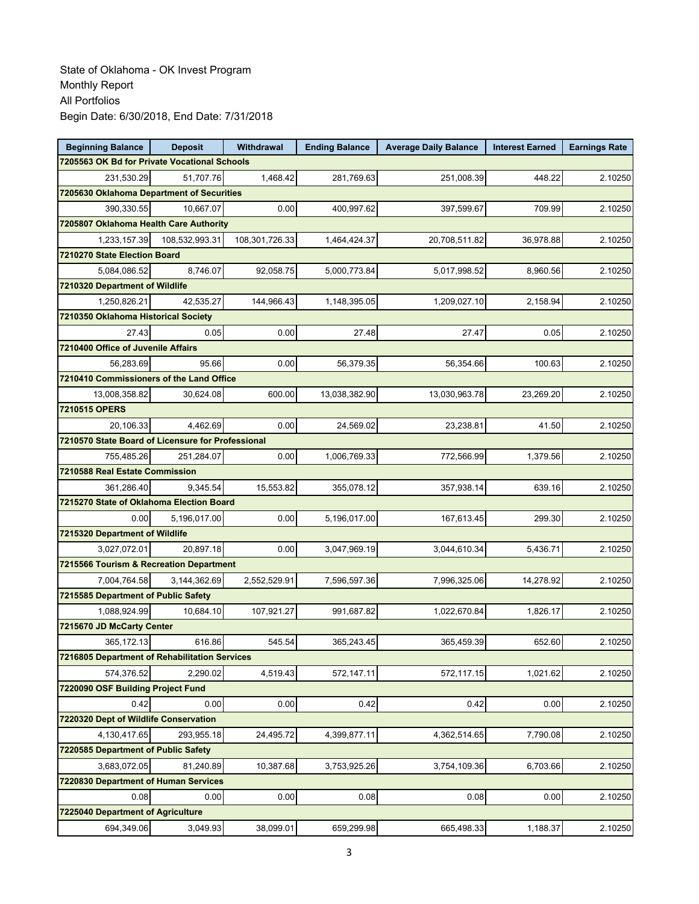| <b>Beginning Balance</b>                          | <b>Deposit</b>                         | Withdrawal     | <b>Ending Balance</b> | <b>Average Daily Balance</b> | <b>Interest Earned</b> | <b>Earnings Rate</b> |  |  |  |
|---------------------------------------------------|----------------------------------------|----------------|-----------------------|------------------------------|------------------------|----------------------|--|--|--|
| 7205563 OK Bd for Private Vocational Schools      |                                        |                |                       |                              |                        |                      |  |  |  |
| 231,530.29                                        | 51.707.76                              | 1,468.42       | 281,769.63            | 251,008.39                   | 448.22                 | 2.10250              |  |  |  |
| 7205630 Oklahoma Department of Securities         |                                        |                |                       |                              |                        |                      |  |  |  |
| 390,330.55                                        | 10,667.07                              | 0.00           | 400,997.62            | 397,599.67                   | 709.99                 | 2.10250              |  |  |  |
|                                                   | 7205807 Oklahoma Health Care Authority |                |                       |                              |                        |                      |  |  |  |
| 1,233,157.39                                      | 108,532,993.31                         | 108,301,726.33 | 1,464,424.37          | 20,708,511.82                | 36,978.88              | 2.10250              |  |  |  |
| 7210270 State Election Board                      |                                        |                |                       |                              |                        |                      |  |  |  |
| 5,084,086.52                                      | 8,746.07                               | 92,058.75      | 5,000,773.84          | 5,017,998.52                 | 8,960.56               | 2.10250              |  |  |  |
| 7210320 Department of Wildlife                    |                                        |                |                       |                              |                        |                      |  |  |  |
| 1,250,826.21                                      | 42,535.27                              | 144,966.43     | 1,148,395.05          | 1,209,027.10                 | 2,158.94               | 2.10250              |  |  |  |
| 7210350 Oklahoma Historical Society               |                                        |                |                       |                              |                        |                      |  |  |  |
| 27.43                                             | 0.05                                   | 0.00           | 27.48                 | 27.47                        | 0.05                   | 2.10250              |  |  |  |
| 7210400 Office of Juvenile Affairs                |                                        |                |                       |                              |                        |                      |  |  |  |
| 56,283.69                                         | 95.66                                  | 0.00           | 56,379.35             | 56,354.66                    | 100.63                 | 2.10250              |  |  |  |
| 7210410 Commissioners of the Land Office          |                                        |                |                       |                              |                        |                      |  |  |  |
| 13,008,358.82                                     | 30,624.08                              | 600.00         | 13,038,382.90         | 13,030,963.78                | 23,269.20              | 2.10250              |  |  |  |
| 7210515 OPERS                                     |                                        |                |                       |                              |                        |                      |  |  |  |
| 20,106.33                                         | 4,462.69                               | 0.00           | 24,569.02             | 23,238.81                    | 41.50                  | 2.10250              |  |  |  |
| 7210570 State Board of Licensure for Professional |                                        |                |                       |                              |                        |                      |  |  |  |
| 755.485.26                                        | 251,284.07                             | 0.00           | 1,006,769.33          | 772,566.99                   | 1,379.56               | 2.10250              |  |  |  |
| 7210588 Real Estate Commission                    |                                        |                |                       |                              |                        |                      |  |  |  |
| 361,286.40                                        | 9,345.54                               | 15,553.82      | 355,078.12            | 357,938.14                   | 639.16                 | 2.10250              |  |  |  |
| 7215270 State of Oklahoma Election Board          |                                        |                |                       |                              |                        |                      |  |  |  |
| 0.00                                              | 5,196,017.00                           | 0.00           | 5,196,017.00          | 167,613.45                   | 299.30                 | 2.10250              |  |  |  |
| 7215320 Department of Wildlife                    |                                        |                |                       |                              |                        |                      |  |  |  |
| 3,027,072.01                                      | 20,897.18                              | 0.00           | 3,047,969.19          | 3,044,610.34                 | 5,436.71               | 2.10250              |  |  |  |
| 7215566 Tourism & Recreation Department           |                                        |                |                       |                              |                        |                      |  |  |  |
| 7,004,764.58                                      | 3,144,362.69                           | 2,552,529.91   | 7,596,597.36          | 7,996,325.06                 | 14,278.92              | 2.10250              |  |  |  |
| 7215585 Department of Public Safety               |                                        |                |                       |                              |                        |                      |  |  |  |
| 1,088,924.99                                      | 10.684.10                              | 107,921.27     | 991,687.82            | 1,022,670.84                 | 1,826.17               | 2.10250              |  |  |  |
| 7215670 JD McCarty Center                         |                                        |                |                       |                              |                        |                      |  |  |  |
| 365,172.13                                        | 616.86                                 | 545.54         | 365,243.45            | 365,459.39                   | 652.60                 | 2.10250              |  |  |  |
| 7216805 Department of Rehabilitation Services     |                                        |                |                       |                              |                        |                      |  |  |  |
| 574,376.52                                        | 2,290.02                               | 4,519.43       | 572,147.11            | 572,117.15                   | 1,021.62               | 2.10250              |  |  |  |
| 7220090 OSF Building Project Fund                 |                                        |                |                       |                              |                        |                      |  |  |  |
| 0.42                                              | 0.00                                   | 0.00           | 0.42                  | 0.42                         | 0.00                   | 2.10250              |  |  |  |
| 7220320 Dept of Wildlife Conservation             |                                        |                |                       |                              |                        |                      |  |  |  |
| 4,130,417.65                                      | 293,955.18                             | 24,495.72      | 4,399,877.11          | 4,362,514.65                 | 7,790.08               | 2.10250              |  |  |  |
| 7220585 Department of Public Safety               |                                        |                |                       |                              |                        |                      |  |  |  |
| 3,683,072.05                                      | 81,240.89                              | 10,387.68      | 3,753,925.26          | 3,754,109.36                 | 6,703.66               | 2.10250              |  |  |  |
| 7220830 Department of Human Services              |                                        |                |                       |                              |                        |                      |  |  |  |
| 0.08                                              | 0.00                                   | 0.00           | 0.08                  | 0.08                         | 0.00                   | 2.10250              |  |  |  |
| 7225040 Department of Agriculture                 |                                        |                |                       |                              |                        |                      |  |  |  |
| 694,349.06                                        | 3,049.93                               | 38,099.01      | 659,299.98            | 665,498.33                   | 1,188.37               | 2.10250              |  |  |  |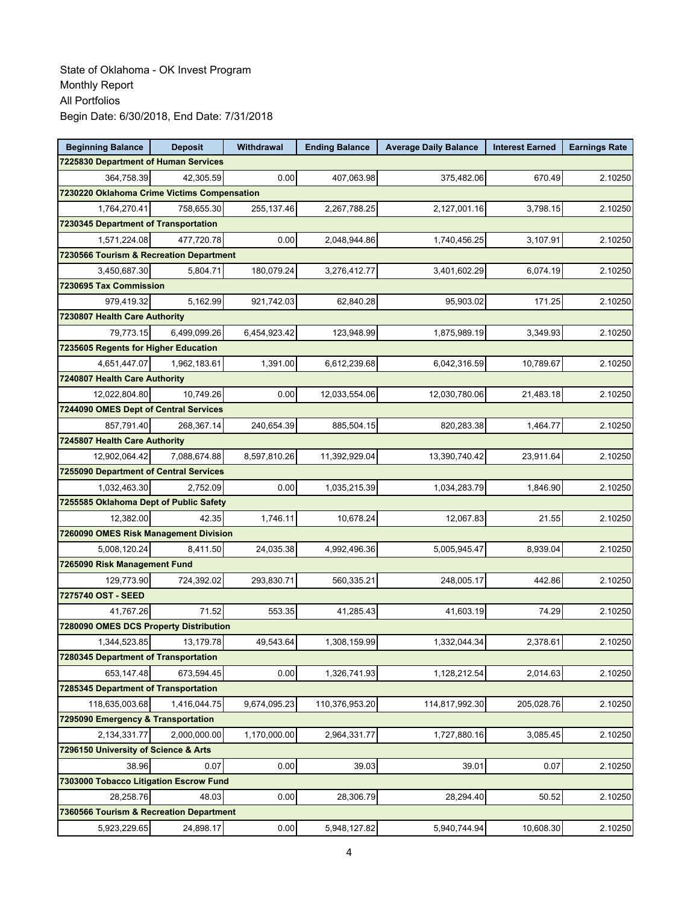| <b>Beginning Balance</b>                    | <b>Deposit</b> | Withdrawal   | <b>Ending Balance</b> | <b>Average Daily Balance</b> | <b>Interest Earned</b> | <b>Earnings Rate</b> |
|---------------------------------------------|----------------|--------------|-----------------------|------------------------------|------------------------|----------------------|
| 7225830 Department of Human Services        |                |              |                       |                              |                        |                      |
| 364,758.39                                  | 42,305.59      | 0.00         | 407,063.98            | 375,482.06                   | 670.49                 | 2.10250              |
| 7230220 Oklahoma Crime Victims Compensation |                |              |                       |                              |                        |                      |
| 1,764,270.41                                | 758,655.30     | 255,137.46   | 2,267,788.25          | 2,127,001.16                 | 3,798.15               | 2.10250              |
| 7230345 Department of Transportation        |                |              |                       |                              |                        |                      |
| 1,571,224.08                                | 477,720.78     | 0.00         | 2,048,944.86          | 1,740,456.25                 | 3,107.91               | 2.10250              |
| 7230566 Tourism & Recreation Department     |                |              |                       |                              |                        |                      |
| 3,450,687.30                                | 5,804.71       | 180,079.24   | 3,276,412.77          | 3,401,602.29                 | 6,074.19               | 2.10250              |
| 7230695 Tax Commission                      |                |              |                       |                              |                        |                      |
| 979,419.32                                  | 5,162.99       | 921,742.03   | 62,840.28             | 95,903.02                    | 171.25                 | 2.10250              |
| 7230807 Health Care Authority               |                |              |                       |                              |                        |                      |
| 79,773.15                                   | 6,499,099.26   | 6,454,923.42 | 123,948.99            | 1,875,989.19                 | 3,349.93               | 2.10250              |
| 7235605 Regents for Higher Education        |                |              |                       |                              |                        |                      |
| 4,651,447.07                                | 1,962,183.61   | 1,391.00     | 6,612,239.68          | 6,042,316.59                 | 10,789.67              | 2.10250              |
| 7240807 Health Care Authority               |                |              |                       |                              |                        |                      |
| 12,022,804.80                               | 10,749.26      | 0.00         | 12,033,554.06         | 12,030,780.06                | 21,483.18              | 2.10250              |
| 7244090 OMES Dept of Central Services       |                |              |                       |                              |                        |                      |
| 857,791.40                                  | 268,367.14     | 240,654.39   | 885,504.15            | 820,283.38                   | 1,464.77               | 2.10250              |
| 7245807 Health Care Authority               |                |              |                       |                              |                        |                      |
| 12,902,064.42                               | 7,088,674.88   | 8,597,810.26 | 11,392,929.04         | 13,390,740.42                | 23,911.64              | 2.10250              |
| 7255090 Department of Central Services      |                |              |                       |                              |                        |                      |
| 1,032,463.30                                | 2,752.09       | 0.00         | 1,035,215.39          | 1,034,283.79                 | 1,846.90               | 2.10250              |
| 7255585 Oklahoma Dept of Public Safety      |                |              |                       |                              |                        |                      |
| 12,382.00                                   | 42.35          | 1,746.11     | 10,678.24             | 12,067.83                    | 21.55                  | 2.10250              |
| 7260090 OMES Risk Management Division       |                |              |                       |                              |                        |                      |
| 5,008,120.24                                | 8,411.50       | 24,035.38    | 4,992,496.36          | 5,005,945.47                 | 8,939.04               | 2.10250              |
| 7265090 Risk Management Fund                |                |              |                       |                              |                        |                      |
| 129,773.90                                  | 724,392.02     | 293,830.71   | 560.335.21            | 248,005.17                   | 442.86                 | 2.10250              |
| 7275740 OST - SEED                          |                |              |                       |                              |                        |                      |
| 41,767.26                                   | 71.52          | 553.35       | 41,285.43             | 41,603.19                    | 74.29                  | 2.10250              |
| 7280090 OMES DCS Property Distribution      |                |              |                       |                              |                        |                      |
| 1,344,523.85                                | 13,179.78      | 49,543.64    | 1,308,159.99          | 1,332,044.34                 | 2,378.61               | 2.10250              |
| 7280345 Department of Transportation        |                |              |                       |                              |                        |                      |
| 653,147.48                                  | 673,594.45     | 0.00         | 1,326,741.93          | 1,128,212.54                 | 2,014.63               | 2.10250              |
| 7285345 Department of Transportation        |                |              |                       |                              |                        |                      |
| 118,635,003.68                              | 1,416,044.75   | 9,674,095.23 | 110,376,953.20        | 114,817,992.30               | 205,028.76             | 2.10250              |
| 7295090 Emergency & Transportation          |                |              |                       |                              |                        |                      |
| 2,134,331.77                                | 2,000,000.00   | 1,170,000.00 | 2,964,331.77          | 1,727,880.16                 | 3,085.45               | 2.10250              |
| 7296150 University of Science & Arts        |                |              |                       |                              |                        |                      |
| 38.96                                       | 0.07           | 0.00         | 39.03                 | 39.01                        | 0.07                   | 2.10250              |
| 7303000 Tobacco Litigation Escrow Fund      |                |              |                       |                              |                        |                      |
| 28,258.76                                   | 48.03          | 0.00         | 28,306.79             | 28,294.40                    | 50.52                  | 2.10250              |
| 7360566 Tourism & Recreation Department     |                |              |                       |                              |                        |                      |
| 5,923,229.65                                | 24,898.17      | 0.00         | 5,948,127.82          | 5,940,744.94                 | 10,608.30              | 2.10250              |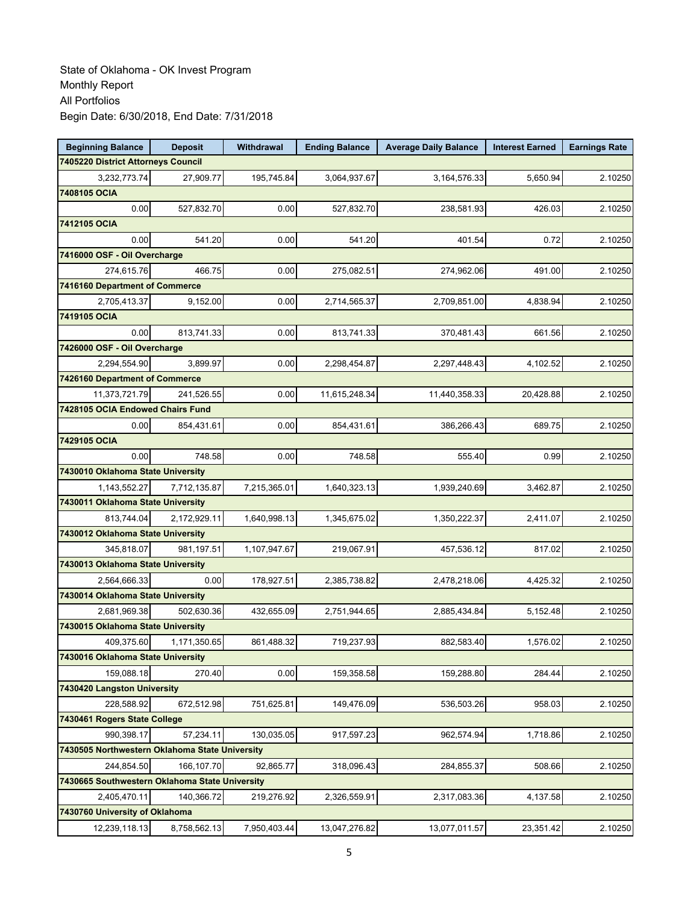| <b>Beginning Balance</b>                                     | <b>Deposit</b> | Withdrawal   | <b>Ending Balance</b> | <b>Average Daily Balance</b> | <b>Interest Earned</b> | <b>Earnings Rate</b> |
|--------------------------------------------------------------|----------------|--------------|-----------------------|------------------------------|------------------------|----------------------|
| 7405220 District Attorneys Council                           |                |              |                       |                              |                        |                      |
| 3,232,773.74                                                 | 27,909.77      | 195,745.84   | 3,064,937.67          | 3,164,576.33                 | 5,650.94               | 2.10250              |
| 7408105 OCIA                                                 |                |              |                       |                              |                        |                      |
| 0.00                                                         | 527,832.70     | 0.00         | 527,832.70            | 238,581.93                   | 426.03                 | 2.10250              |
| 7412105 OCIA                                                 |                |              |                       |                              |                        |                      |
| 0.00                                                         | 541.20         | 0.00         | 541.20                | 401.54                       | 0.72                   | 2.10250              |
| 7416000 OSF - Oil Overcharge                                 |                |              |                       |                              |                        |                      |
| 274,615.76                                                   | 466.75         | 0.00         | 275,082.51            | 274,962.06                   | 491.00                 | 2.10250              |
| 7416160 Department of Commerce                               |                |              |                       |                              |                        |                      |
| 2,705,413.37                                                 | 9,152.00       | 0.00         | 2,714,565.37          | 2,709,851.00                 | 4,838.94               | 2.10250              |
| 7419105 OCIA                                                 |                |              |                       |                              |                        |                      |
| 0.00                                                         | 813,741.33     | 0.00         | 813,741.33            | 370,481.43                   | 661.56                 | 2.10250              |
| 7426000 OSF - Oil Overcharge                                 |                |              |                       |                              |                        |                      |
| 2,294,554.90                                                 | 3,899.97       | 0.00         | 2,298,454.87          | 2,297,448.43                 | 4,102.52               | 2.10250              |
| 7426160 Department of Commerce                               |                |              |                       |                              |                        |                      |
| 11,373,721.79                                                | 241,526.55     | 0.00         | 11,615,248.34         | 11,440,358.33                | 20,428.88              | 2.10250              |
| 7428105 OCIA Endowed Chairs Fund                             |                |              |                       |                              |                        |                      |
| 0.00                                                         | 854,431.61     | 0.00         | 854,431.61            | 386,266.43                   | 689.75                 | 2.10250              |
| 7429105 OCIA                                                 |                |              |                       |                              |                        |                      |
| 0.00                                                         | 748.58         | 0.00         | 748.58                | 555.40                       | 0.99                   | 2.10250              |
| 7430010 Oklahoma State University                            |                |              |                       |                              |                        |                      |
| 1,143,552.27                                                 | 7,712,135.87   | 7,215,365.01 | 1,640,323.13          | 1,939,240.69                 | 3,462.87               | 2.10250              |
| 7430011 Oklahoma State University                            |                |              |                       |                              |                        |                      |
| 813,744.04                                                   | 2,172,929.11   | 1,640,998.13 | 1,345,675.02          | 1,350,222.37                 | 2,411.07               | 2.10250              |
| 7430012 Oklahoma State University                            |                |              |                       |                              |                        |                      |
| 345,818.07                                                   | 981,197.51     | 1,107,947.67 | 219,067.91            | 457,536.12                   | 817.02                 | 2.10250              |
| 7430013 Oklahoma State University                            |                |              |                       |                              |                        |                      |
| 2,564,666.33                                                 | 0.00           | 178,927.51   | 2,385,738.82          | 2,478,218.06                 | 4,425.32               | 2.10250              |
| 7430014 Oklahoma State University                            |                |              |                       |                              |                        |                      |
| 2,681,969.38                                                 | 502,630.36     | 432,655.09   | 2,751,944.65          | 2,885,434.84                 | 5,152.48               | 2.10250              |
| 7430015 Oklahoma State University                            |                |              |                       |                              |                        |                      |
| 409,375.60                                                   | 1,171,350.65   | 861,488.32   | 719,237.93            | 882,583.40                   | 1,576.02               | 2.10250              |
| 7430016 Oklahoma State University                            |                |              |                       |                              |                        |                      |
| 159.088.18                                                   | 270.40         | 0.00         | 159,358.58            | 159,288.80                   | 284.44                 | 2.10250              |
| 7430420 Langston University                                  |                |              |                       |                              |                        |                      |
| 228,588.92<br>7430461 Rogers State College                   | 672,512.98     | 751,625.81   | 149,476.09            | 536,503.26                   | 958.03                 | 2.10250              |
|                                                              |                |              |                       |                              |                        |                      |
| 990,398.17<br>7430505 Northwestern Oklahoma State University | 57,234.11      | 130,035.05   | 917,597.23            | 962,574.94                   | 1,718.86               | 2.10250              |
|                                                              |                |              |                       |                              |                        |                      |
| 244,854.50<br>7430665 Southwestern Oklahoma State University | 166,107.70     | 92,865.77    | 318,096.43            | 284,855.37                   | 508.66                 | 2.10250              |
| 2,405,470.11                                                 | 140,366.72     | 219,276.92   | 2,326,559.91          | 2,317,083.36                 | 4,137.58               | 2.10250              |
| 7430760 University of Oklahoma                               |                |              |                       |                              |                        |                      |
|                                                              | 8,758,562.13   |              |                       | 13,077,011.57                |                        |                      |
| 12,239,118.13                                                |                | 7,950,403.44 | 13,047,276.82         |                              | 23,351.42              | 2.10250              |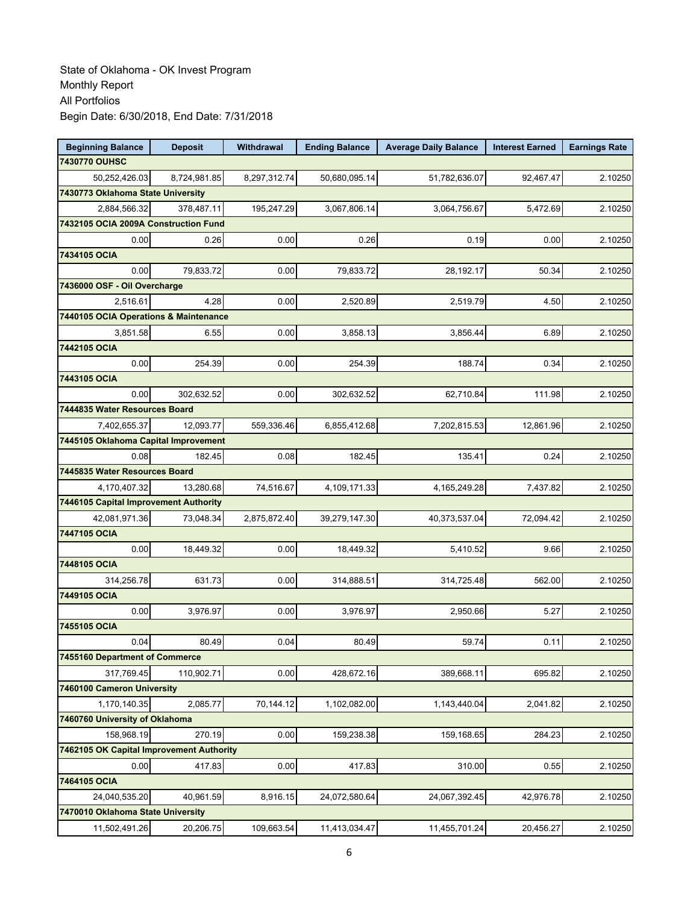| <b>Beginning Balance</b>                 | <b>Deposit</b> | Withdrawal   | <b>Ending Balance</b> | <b>Average Daily Balance</b> | <b>Interest Earned</b> | <b>Earnings Rate</b> |
|------------------------------------------|----------------|--------------|-----------------------|------------------------------|------------------------|----------------------|
| 7430770 OUHSC                            |                |              |                       |                              |                        |                      |
| 50,252,426.03                            | 8.724.981.85   | 8,297,312.74 | 50,680,095.14         | 51,782,636.07                | 92.467.47              | 2.10250              |
| 7430773 Oklahoma State University        |                |              |                       |                              |                        |                      |
| 2,884,566.32                             | 378,487.11     | 195,247.29   | 3,067,806.14          | 3,064,756.67                 | 5,472.69               | 2.10250              |
| 7432105 OCIA 2009A Construction Fund     |                |              |                       |                              |                        |                      |
| 0.00                                     | 0.26           | 0.00         | 0.26                  | 0.19                         | 0.00                   | 2.10250              |
| 7434105 OCIA                             |                |              |                       |                              |                        |                      |
| 0.00                                     | 79,833.72      | 0.00         | 79,833.72             | 28,192.17                    | 50.34                  | 2.10250              |
| 7436000 OSF - Oil Overcharge             |                |              |                       |                              |                        |                      |
| 2,516.61                                 | 4.28           | 0.00         | 2,520.89              | 2,519.79                     | 4.50                   | 2.10250              |
| 7440105 OCIA Operations & Maintenance    |                |              |                       |                              |                        |                      |
| 3,851.58                                 | 6.55           | 0.00         | 3,858.13              | 3,856.44                     | 6.89                   | 2.10250              |
| 7442105 OCIA                             |                |              |                       |                              |                        |                      |
| 0.00                                     | 254.39         | 0.00         | 254.39                | 188.74                       | 0.34                   | 2.10250              |
| 7443105 OCIA                             |                |              |                       |                              |                        |                      |
| 0.00                                     | 302,632.52     | 0.00         | 302,632.52            | 62,710.84                    | 111.98                 | 2.10250              |
| 7444835 Water Resources Board            |                |              |                       |                              |                        |                      |
| 7,402,655.37                             | 12,093.77      | 559,336.46   | 6,855,412.68          | 7,202,815.53                 | 12,861.96              | 2.10250              |
| 7445105 Oklahoma Capital Improvement     |                |              |                       |                              |                        |                      |
| 0.08                                     | 182.45         | 0.08         | 182.45                | 135.41                       | 0.24                   | 2.10250              |
| 7445835 Water Resources Board            |                |              |                       |                              |                        |                      |
| 4,170,407.32                             | 13,280.68      | 74,516.67    | 4,109,171.33          | 4, 165, 249. 28              | 7,437.82               | 2.10250              |
| 7446105 Capital Improvement Authority    |                |              |                       |                              |                        |                      |
| 42,081,971.36                            | 73,048.34      | 2,875,872.40 | 39,279,147.30         | 40,373,537.04                | 72,094.42              | 2.10250              |
| 7447105 OCIA                             |                |              |                       |                              |                        |                      |
| 0.00                                     | 18,449.32      | 0.00         | 18,449.32             | 5,410.52                     | 9.66                   | 2.10250              |
| 7448105 OCIA                             |                |              |                       |                              |                        |                      |
| 314,256.78                               | 631.73         | 0.00         | 314,888.51            | 314,725.48                   | 562.00                 | 2.10250              |
| 7449105 OCIA                             |                |              |                       |                              |                        |                      |
| 0.00                                     | 3,976.97       | 0.00         | 3,976.97              | 2,950.66                     | 5.27                   | 2.10250              |
| 7455105 OCIA                             |                |              |                       |                              |                        |                      |
| 0.04                                     | 80.49          | 0.04         | 80.49                 | 59.74                        | 0.11                   | 2.10250              |
| 7455160 Department of Commerce           |                |              |                       |                              |                        |                      |
| 317,769.45                               | 110,902.71     | 0.00         | 428,672.16            | 389,668.11                   | 695.82                 | 2.10250              |
| 7460100 Cameron University               |                |              |                       |                              |                        |                      |
| 1,170,140.35                             | 2,085.77       | 70,144.12    | 1,102,082.00          | 1,143,440.04                 | 2,041.82               | 2.10250              |
| 7460760 University of Oklahoma           |                |              |                       |                              |                        |                      |
| 158,968.19                               | 270.19         | 0.00         | 159,238.38            | 159,168.65                   | 284.23                 | 2.10250              |
| 7462105 OK Capital Improvement Authority |                |              |                       |                              |                        |                      |
| 0.00<br>7464105 OCIA                     | 417.83         | 0.00         | 417.83                | 310.00                       | 0.55                   | 2.10250              |
|                                          |                |              |                       |                              |                        |                      |
| 24,040,535.20                            | 40,961.59      | 8,916.15     | 24,072,580.64         | 24,067,392.45                | 42,976.78              | 2.10250              |
| 7470010 Oklahoma State University        |                |              |                       |                              |                        |                      |
| 11,502,491.26                            | 20,206.75      | 109,663.54   | 11,413,034.47         | 11,455,701.24                | 20,456.27              | 2.10250              |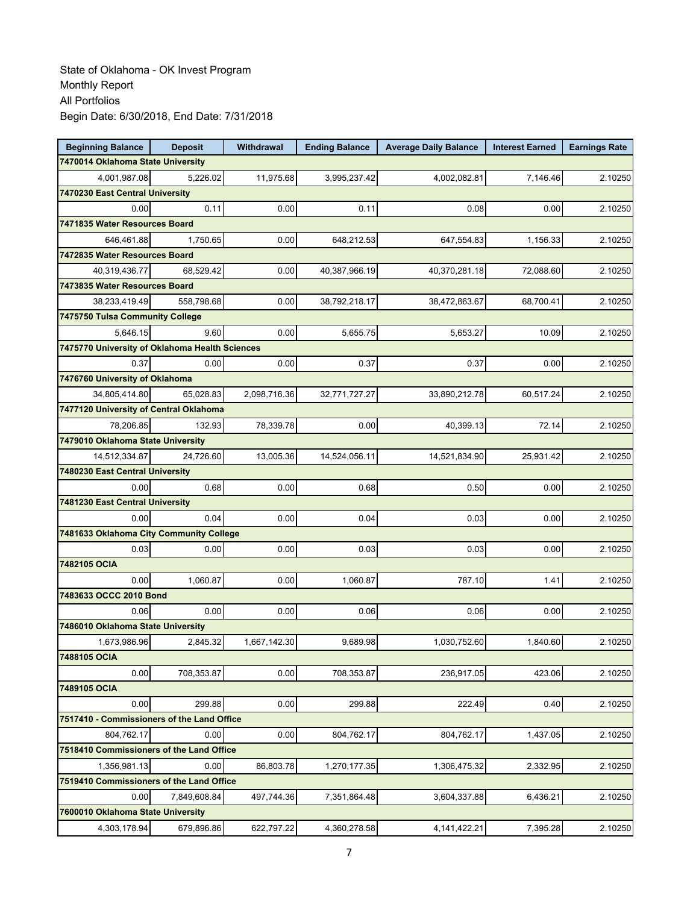| <b>Beginning Balance</b>                       | <b>Deposit</b> | <b>Withdrawal</b> | <b>Ending Balance</b> | <b>Average Daily Balance</b> | <b>Interest Earned</b> | <b>Earnings Rate</b> |
|------------------------------------------------|----------------|-------------------|-----------------------|------------------------------|------------------------|----------------------|
| 7470014 Oklahoma State University              |                |                   |                       |                              |                        |                      |
| 4,001,987.08                                   | 5,226.02       | 11,975.68         | 3,995,237.42          | 4,002,082.81                 | 7,146.46               | 2.10250              |
| 7470230 East Central University                |                |                   |                       |                              |                        |                      |
| 0.00                                           | 0.11           | 0.00              | 0.11                  | 0.08                         | 0.00                   | 2.10250              |
| 7471835 Water Resources Board                  |                |                   |                       |                              |                        |                      |
| 646,461.88                                     | 1.750.65       | 0.00              | 648,212.53            | 647,554.83                   | 1,156.33               | 2.10250              |
| 7472835 Water Resources Board                  |                |                   |                       |                              |                        |                      |
| 40,319,436.77                                  | 68,529.42      | 0.00              | 40,387,966.19         | 40,370,281.18                | 72,088.60              | 2.10250              |
| 7473835 Water Resources Board                  |                |                   |                       |                              |                        |                      |
| 38,233,419.49                                  | 558,798.68     | 0.00              | 38,792,218.17         | 38,472,863.67                | 68,700.41              | 2.10250              |
| 7475750 Tulsa Community College                |                |                   |                       |                              |                        |                      |
| 5,646.15                                       | 9.60           | 0.00              | 5,655.75              | 5,653.27                     | 10.09                  | 2.10250              |
| 7475770 University of Oklahoma Health Sciences |                |                   |                       |                              |                        |                      |
| 0.37                                           | 0.00           | 0.00              | 0.37                  | 0.37                         | 0.00                   | 2.10250              |
| 7476760 University of Oklahoma                 |                |                   |                       |                              |                        |                      |
| 34.805.414.80                                  | 65,028.83      | 2,098,716.36      | 32,771,727.27         | 33,890,212.78                | 60,517.24              | 2.10250              |
| 7477120 University of Central Oklahoma         |                |                   |                       |                              |                        |                      |
| 78.206.85                                      | 132.93         | 78,339.78         | 0.00                  | 40,399.13                    | 72.14                  | 2.10250              |
| 7479010 Oklahoma State University              |                |                   |                       |                              |                        |                      |
| 14,512,334.87                                  | 24,726.60      | 13,005.36         | 14,524,056.11         | 14,521,834.90                | 25,931.42              | 2.10250              |
| 7480230 East Central University                |                |                   |                       |                              |                        |                      |
| 0.00                                           | 0.68           | 0.00              | 0.68                  | 0.50                         | 0.00                   | 2.10250              |
| 7481230 East Central University                |                |                   |                       |                              |                        |                      |
| 0.00                                           | 0.04           | 0.00              | 0.04                  | 0.03                         | 0.00                   | 2.10250              |
| 7481633 Oklahoma City Community College        |                |                   |                       |                              |                        |                      |
| 0.03                                           | 0.00           | 0.00              | 0.03                  | 0.03                         | 0.00                   | 2.10250              |
| 7482105 OCIA                                   |                |                   |                       |                              |                        |                      |
| 0.00                                           | 1,060.87       | 0.00              | 1,060.87              | 787.10                       | 1.41                   | 2.10250              |
| 7483633 OCCC 2010 Bond                         |                |                   |                       |                              |                        |                      |
| 0.06                                           | 0.00           | 0.00              | 0.06                  | 0.06                         | 0.00                   | 2.10250              |
| 7486010 Oklahoma State University              |                |                   |                       |                              |                        |                      |
| 1,673,986.96                                   | 2,845.32       | 1,667,142.30      | 9,689.98              | 1,030,752.60                 | 1,840.60               | 2.10250              |
| 7488105 OCIA                                   |                |                   |                       |                              |                        |                      |
| 0.00                                           | 708,353.87     | 0.00              | 708,353.87            | 236,917.05                   | 423.06                 | 2.10250              |
| 7489105 OCIA                                   |                |                   |                       |                              |                        |                      |
| 0.00                                           | 299.88         | 0.00              | 299.88                | 222.49                       | 0.40                   | 2.10250              |
| 7517410 - Commissioners of the Land Office     |                |                   |                       |                              |                        |                      |
| 804,762.17                                     | 0.00           | 0.00              | 804,762.17            | 804,762.17                   | 1,437.05               | 2.10250              |
| 7518410 Commissioners of the Land Office       |                |                   |                       |                              |                        |                      |
| 1,356,981.13                                   | 0.00           | 86,803.78         | 1,270,177.35          | 1,306,475.32                 | 2,332.95               | 2.10250              |
| 7519410 Commissioners of the Land Office       |                |                   |                       |                              |                        |                      |
| 0.00                                           | 7,849,608.84   | 497,744.36        | 7,351,864.48          | 3,604,337.88                 | 6,436.21               | 2.10250              |
| 7600010 Oklahoma State University              |                |                   |                       |                              |                        |                      |
| 4,303,178.94                                   | 679,896.86     | 622,797.22        | 4,360,278.58          | 4,141,422.21                 | 7,395.28               | 2.10250              |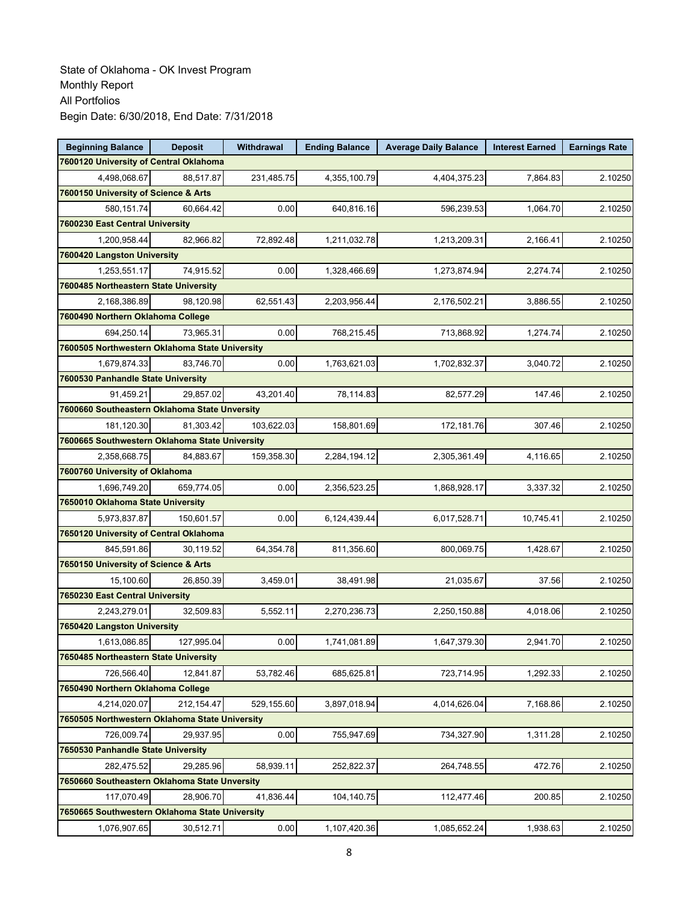| <b>Beginning Balance</b>                       | <b>Deposit</b> | Withdrawal | <b>Ending Balance</b> | <b>Average Daily Balance</b> | <b>Interest Earned</b> | <b>Earnings Rate</b> |
|------------------------------------------------|----------------|------------|-----------------------|------------------------------|------------------------|----------------------|
| 7600120 University of Central Oklahoma         |                |            |                       |                              |                        |                      |
| 4,498,068.67                                   | 88,517.87      | 231,485.75 | 4,355,100.79          | 4,404,375.23                 | 7,864.83               | 2.10250              |
| 7600150 University of Science & Arts           |                |            |                       |                              |                        |                      |
| 580.151.74                                     | 60,664.42      | 0.00       | 640,816.16            | 596,239.53                   | 1,064.70               | 2.10250              |
| 7600230 East Central University                |                |            |                       |                              |                        |                      |
| 1,200,958.44                                   | 82,966.82      | 72,892.48  | 1,211,032.78          | 1,213,209.31                 | 2,166.41               | 2.10250              |
| 7600420 Langston University                    |                |            |                       |                              |                        |                      |
| 1,253,551.17                                   | 74,915.52      | 0.00       | 1,328,466.69          | 1,273,874.94                 | 2,274.74               | 2.10250              |
| 7600485 Northeastern State University          |                |            |                       |                              |                        |                      |
| 2,168,386.89                                   | 98,120.98      | 62,551.43  | 2,203,956.44          | 2,176,502.21                 | 3,886.55               | 2.10250              |
| 7600490 Northern Oklahoma College              |                |            |                       |                              |                        |                      |
| 694,250.14                                     | 73,965.31      | 0.00       | 768,215.45            | 713,868.92                   | 1,274.74               | 2.10250              |
| 7600505 Northwestern Oklahoma State University |                |            |                       |                              |                        |                      |
| 1,679,874.33                                   | 83,746.70      | 0.00       | 1,763,621.03          | 1,702,832.37                 | 3,040.72               | 2.10250              |
| 7600530 Panhandle State University             |                |            |                       |                              |                        |                      |
| 91,459.21                                      | 29,857.02      | 43,201.40  | 78,114.83             | 82,577.29                    | 147.46                 | 2.10250              |
| 7600660 Southeastern Oklahoma State Unversity  |                |            |                       |                              |                        |                      |
| 181,120.30                                     | 81.303.42      | 103,622.03 | 158,801.69            | 172,181.76                   | 307.46                 | 2.10250              |
| 7600665 Southwestern Oklahoma State University |                |            |                       |                              |                        |                      |
| 2,358,668.75                                   | 84,883.67      | 159,358.30 | 2,284,194.12          | 2,305,361.49                 | 4.116.65               | 2.10250              |
| 7600760 University of Oklahoma                 |                |            |                       |                              |                        |                      |
| 1,696,749.20                                   | 659,774.05     | 0.00       | 2,356,523.25          | 1,868,928.17                 | 3,337.32               | 2.10250              |
| 7650010 Oklahoma State University              |                |            |                       |                              |                        |                      |
| 5,973,837.87                                   | 150,601.57     | 0.00       | 6,124,439.44          | 6,017,528.71                 | 10,745.41              | 2.10250              |
| 7650120 University of Central Oklahoma         |                |            |                       |                              |                        |                      |
| 845,591.86                                     | 30,119.52      | 64,354.78  | 811,356.60            | 800,069.75                   | 1,428.67               | 2.10250              |
| 7650150 University of Science & Arts           |                |            |                       |                              |                        |                      |
| 15,100.60                                      | 26,850.39      | 3,459.01   | 38,491.98             | 21,035.67                    | 37.56                  | 2.10250              |
| 7650230 East Central University                |                |            |                       |                              |                        |                      |
| 2,243,279.01                                   | 32,509.83      | 5,552.11   | 2,270,236.73          | 2,250,150.88                 | 4,018.06               | 2.10250              |
| 7650420 Langston University                    |                |            |                       |                              |                        |                      |
| 1,613,086.85                                   | 127,995.04     | 0.00       | 1,741,081.89          | 1,647,379.30                 | 2,941.70               | 2.10250              |
| 7650485 Northeastern State University          |                |            |                       |                              |                        |                      |
| 726,566.40                                     | 12,841.87      | 53,782.46  | 685,625.81            | 723,714.95                   | 1,292.33               | 2.10250              |
| 7650490 Northern Oklahoma College              |                |            |                       |                              |                        |                      |
| 4,214,020.07                                   | 212,154.47     | 529,155.60 | 3,897,018.94          | 4,014,626.04                 | 7,168.86               | 2.10250              |
| 7650505 Northwestern Oklahoma State University |                |            |                       |                              |                        |                      |
| 726,009.74                                     | 29,937.95      | 0.00       | 755,947.69            | 734,327.90                   | 1,311.28               | 2.10250              |
| 7650530 Panhandle State University             |                |            |                       |                              |                        |                      |
| 282,475.52                                     | 29,285.96      | 58,939.11  | 252,822.37            | 264,748.55                   | 472.76                 | 2.10250              |
| 7650660 Southeastern Oklahoma State Unversity  |                |            |                       |                              |                        |                      |
| 117,070.49                                     | 28,906.70      | 41,836.44  | 104,140.75            | 112,477.46                   | 200.85                 | 2.10250              |
| 7650665 Southwestern Oklahoma State University |                |            |                       |                              |                        |                      |
| 1,076,907.65                                   | 30,512.71      | 0.00       | 1,107,420.36          | 1,085,652.24                 | 1,938.63               | 2.10250              |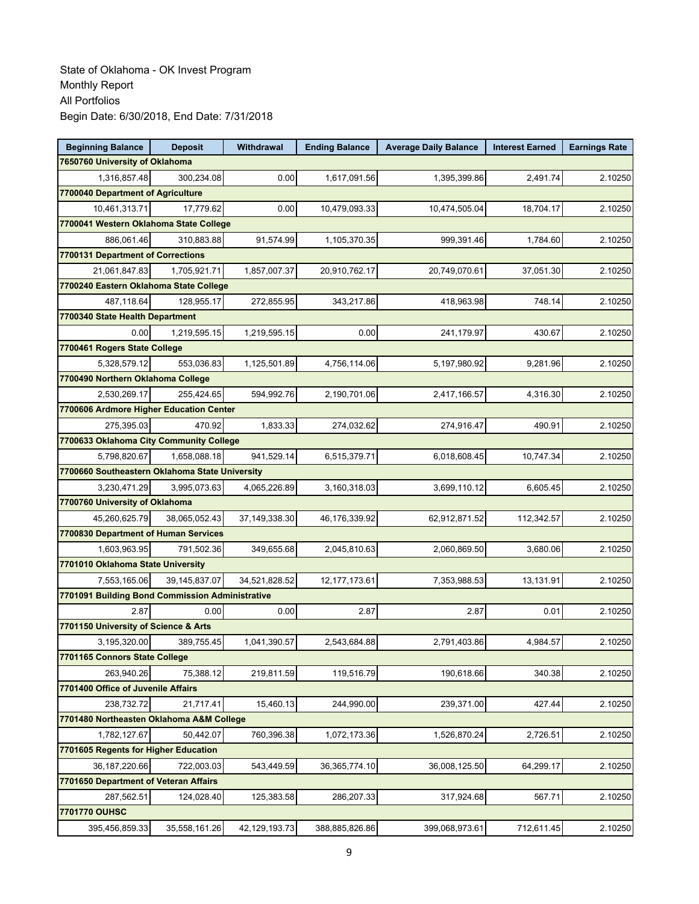| <b>Beginning Balance</b>                        | <b>Deposit</b>  | Withdrawal    | <b>Ending Balance</b> | <b>Average Daily Balance</b> | <b>Interest Earned</b> | <b>Earnings Rate</b> |
|-------------------------------------------------|-----------------|---------------|-----------------------|------------------------------|------------------------|----------------------|
| 7650760 University of Oklahoma                  |                 |               |                       |                              |                        |                      |
| 1,316,857.48                                    | 300,234.08      | 0.00          | 1,617,091.56          | 1,395,399.86                 | 2,491.74               | 2.10250              |
| 7700040 Department of Agriculture               |                 |               |                       |                              |                        |                      |
| 10,461,313.71                                   | 17,779.62       | 0.00          | 10,479,093.33         | 10,474,505.04                | 18.704.17              | 2.10250              |
| 7700041 Western Oklahoma State College          |                 |               |                       |                              |                        |                      |
| 886,061.46                                      | 310,883.88      | 91,574.99     | 1,105,370.35          | 999,391.46                   | 1,784.60               | 2.10250              |
| 7700131 Department of Corrections               |                 |               |                       |                              |                        |                      |
| 21,061,847.83                                   | 1,705,921.71    | 1,857,007.37  | 20,910,762.17         | 20,749,070.61                | 37,051.30              | 2.10250              |
| 7700240 Eastern Oklahoma State College          |                 |               |                       |                              |                        |                      |
| 487.118.64                                      | 128,955.17      | 272,855.95    | 343,217.86            | 418,963.98                   | 748.14                 | 2.10250              |
| 7700340 State Health Department                 |                 |               |                       |                              |                        |                      |
| 0.00                                            | 1,219,595.15    | 1,219,595.15  | 0.00                  | 241,179.97                   | 430.67                 | 2.10250              |
| 7700461 Rogers State College                    |                 |               |                       |                              |                        |                      |
| 5,328,579.12                                    | 553,036.83      | 1,125,501.89  | 4,756,114.06          | 5,197,980.92                 | 9,281.96               | 2.10250              |
| 7700490 Northern Oklahoma College               |                 |               |                       |                              |                        |                      |
| 2,530,269.17                                    | 255,424.65      | 594,992.76    | 2,190,701.06          | 2,417,166.57                 | 4,316.30               | 2.10250              |
| 7700606 Ardmore Higher Education Center         |                 |               |                       |                              |                        |                      |
| 275,395.03                                      | 470.92          | 1,833.33      | 274,032.62            | 274,916.47                   | 490.91                 | 2.10250              |
| 7700633 Oklahoma City Community College         |                 |               |                       |                              |                        |                      |
| 5,798,820.67                                    | 1,658,088.18    | 941,529.14    | 6,515,379.71          | 6,018,608.45                 | 10,747.34              | 2.10250              |
| 7700660 Southeastern Oklahoma State University  |                 |               |                       |                              |                        |                      |
| 3,230,471.29                                    | 3,995,073.63    | 4,065,226.89  | 3,160,318.03          | 3,699,110.12                 | 6,605.45               | 2.10250              |
| 7700760 University of Oklahoma                  |                 |               |                       |                              |                        |                      |
| 45,260,625.79                                   | 38,065,052.43   | 37,149,338.30 | 46,176,339.92         | 62,912,871.52                | 112,342.57             | 2.10250              |
| 7700830 Department of Human Services            |                 |               |                       |                              |                        |                      |
| 1,603,963.95                                    | 791,502.36      | 349,655.68    | 2,045,810.63          | 2,060,869.50                 | 3,680.06               | 2.10250              |
| 7701010 Oklahoma State University               |                 |               |                       |                              |                        |                      |
| 7,553,165.06                                    | 39, 145, 837.07 | 34,521,828.52 | 12, 177, 173.61       | 7,353,988.53                 | 13,131.91              | 2.10250              |
| 7701091 Building Bond Commission Administrative |                 |               |                       |                              |                        |                      |
| 2.87                                            | 0.00            | 0.00          | 2.87                  | 2.87                         | 0.01                   | 2.10250              |
| 7701150 University of Science & Arts            |                 |               |                       |                              |                        |                      |
| 3,195,320.00                                    | 389,755.45      | 1,041,390.57  | 2,543,684.88          | 2,791,403.86                 | 4,984.57               | 2.10250              |
| 7701165 Connors State College                   |                 |               |                       |                              |                        |                      |
| 263,940.26                                      | 75,388.12       | 219,811.59    | 119,516.79            | 190,618.66                   | 340.38                 | 2.10250              |
| 7701400 Office of Juvenile Affairs              |                 |               |                       |                              |                        |                      |
| 238,732.72                                      | 21,717.41       | 15,460.13     | 244,990.00            | 239,371.00                   | 427.44                 | 2.10250              |
| 7701480 Northeasten Oklahoma A&M College        |                 |               |                       |                              |                        |                      |
| 1,782,127.67                                    | 50,442.07       | 760,396.38    | 1,072,173.36          | 1,526,870.24                 | 2,726.51               | 2.10250              |
| 7701605 Regents for Higher Education            |                 |               |                       |                              |                        |                      |
| 36, 187, 220.66                                 | 722,003.03      | 543,449.59    | 36, 365, 774. 10      | 36,008,125.50                | 64,299.17              | 2.10250              |
| 7701650 Department of Veteran Affairs           |                 |               |                       |                              |                        |                      |
| 287,562.51                                      | 124,028.40      | 125,383.58    | 286,207.33            | 317,924.68                   | 567.71                 | 2.10250              |
| 7701770 OUHSC                                   |                 |               |                       |                              |                        |                      |
| 395,456,859.33                                  | 35,558,161.26   | 42,129,193.73 | 388,885,826.86        | 399,068,973.61               | 712,611.45             | 2.10250              |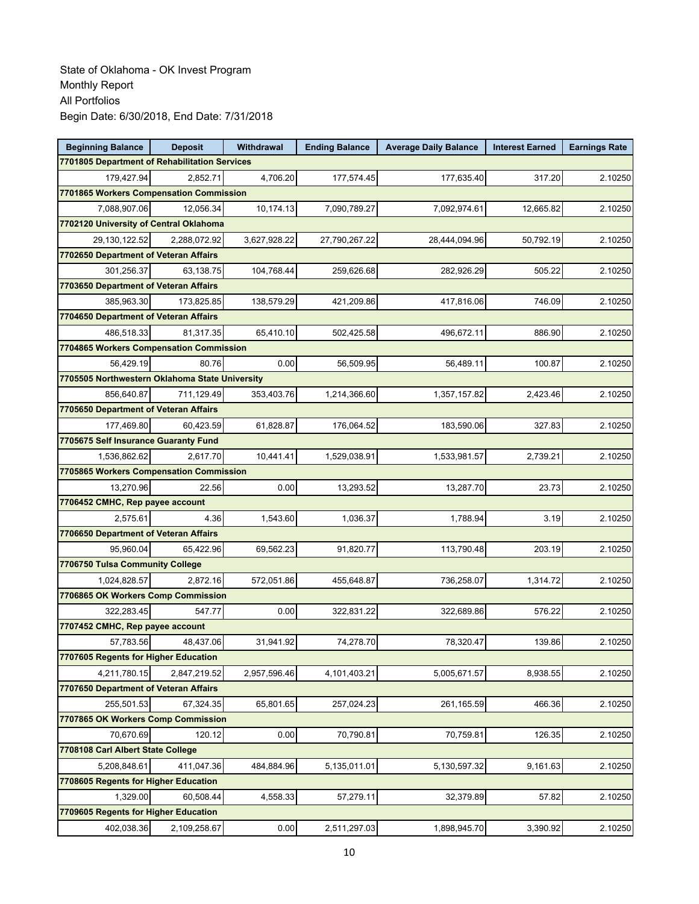| <b>Beginning Balance</b>                       | <b>Deposit</b> | Withdrawal   | <b>Ending Balance</b> | <b>Average Daily Balance</b> | <b>Interest Earned</b> | <b>Earnings Rate</b> |
|------------------------------------------------|----------------|--------------|-----------------------|------------------------------|------------------------|----------------------|
| 7701805 Department of Rehabilitation Services  |                |              |                       |                              |                        |                      |
| 179,427.94                                     | 2,852.71       | 4.706.20     | 177,574.45            | 177,635.40                   | 317.20                 | 2.10250              |
| 7701865 Workers Compensation Commission        |                |              |                       |                              |                        |                      |
| 7,088,907.06                                   | 12,056.34      | 10,174.13    | 7,090,789.27          | 7,092,974.61                 | 12,665.82              | 2.10250              |
| 7702120 University of Central Oklahoma         |                |              |                       |                              |                        |                      |
| 29,130,122.52                                  | 2,288,072.92   | 3,627,928.22 | 27,790,267.22         | 28,444,094.96                | 50,792.19              | 2.10250              |
| 7702650 Department of Veteran Affairs          |                |              |                       |                              |                        |                      |
| 301,256.37                                     | 63,138.75      | 104,768.44   | 259,626.68            | 282,926.29                   | 505.22                 | 2.10250              |
| 7703650 Department of Veteran Affairs          |                |              |                       |                              |                        |                      |
| 385,963.30                                     | 173,825.85     | 138,579.29   | 421,209.86            | 417,816.06                   | 746.09                 | 2.10250              |
| 7704650 Department of Veteran Affairs          |                |              |                       |                              |                        |                      |
| 486,518.33                                     | 81,317.35      | 65,410.10    | 502,425.58            | 496,672.11                   | 886.90                 | 2.10250              |
| 7704865 Workers Compensation Commission        |                |              |                       |                              |                        |                      |
| 56,429.19                                      | 80.76          | 0.00         | 56,509.95             | 56,489.11                    | 100.87                 | 2.10250              |
| 7705505 Northwestern Oklahoma State University |                |              |                       |                              |                        |                      |
| 856,640.87                                     | 711,129.49     | 353,403.76   | 1,214,366.60          | 1,357,157.82                 | 2,423.46               | 2.10250              |
| 7705650 Department of Veteran Affairs          |                |              |                       |                              |                        |                      |
| 177,469.80                                     | 60,423.59      | 61,828.87    | 176,064.52            | 183,590.06                   | 327.83                 | 2.10250              |
| 7705675 Self Insurance Guaranty Fund           |                |              |                       |                              |                        |                      |
| 1,536,862.62                                   | 2.617.70       | 10,441.41    | 1,529,038.91          | 1,533,981.57                 | 2,739.21               | 2.10250              |
| 7705865 Workers Compensation Commission        |                |              |                       |                              |                        |                      |
| 13,270.96                                      | 22.56          | 0.00         | 13,293.52             | 13,287.70                    | 23.73                  | 2.10250              |
| 7706452 CMHC, Rep payee account                |                |              |                       |                              |                        |                      |
| 2,575.61                                       | 4.36           | 1,543.60     | 1,036.37              | 1,788.94                     | 3.19                   | 2.10250              |
| 7706650 Department of Veteran Affairs          |                |              |                       |                              |                        |                      |
| 95,960.04                                      | 65,422.96      | 69,562.23    | 91,820.77             | 113,790.48                   | 203.19                 | 2.10250              |
| 7706750 Tulsa Community College                |                |              |                       |                              |                        |                      |
| 1,024,828.57                                   | 2,872.16       | 572,051.86   | 455,648.87            | 736,258.07                   | 1,314.72               | 2.10250              |
| 7706865 OK Workers Comp Commission             |                |              |                       |                              |                        |                      |
| 322,283.45                                     | 547.77         | 0.00         | 322,831.22            | 322,689.86                   | 576.22                 | 2.10250              |
| 7707452 CMHC, Rep payee account                |                |              |                       |                              |                        |                      |
| 57,783.56                                      | 48,437.06      | 31,941.92    | 74,278.70             | 78,320.47                    | 139.86                 | 2.10250              |
| 7707605 Regents for Higher Education           |                |              |                       |                              |                        |                      |
| 4,211,780.15                                   | 2,847,219.52   | 2,957,596.46 | 4,101,403.21          | 5,005,671.57                 | 8,938.55               | 2.10250              |
| 7707650 Department of Veteran Affairs          |                |              |                       |                              |                        |                      |
| 255,501.53                                     | 67,324.35      | 65,801.65    | 257,024.23            | 261,165.59                   | 466.36                 | 2.10250              |
| 7707865 OK Workers Comp Commission             |                |              |                       |                              |                        |                      |
| 70,670.69                                      | 120.12         | 0.00         | 70,790.81             | 70,759.81                    | 126.35                 | 2.10250              |
| 7708108 Carl Albert State College              |                |              |                       |                              |                        |                      |
| 5,208,848.61                                   | 411,047.36     | 484,884.96   | 5,135,011.01          | 5,130,597.32                 | 9,161.63               | 2.10250              |
| 7708605 Regents for Higher Education           |                |              |                       |                              |                        |                      |
| 1,329.00                                       | 60,508.44      | 4,558.33     | 57,279.11             | 32,379.89                    | 57.82                  | 2.10250              |
| 7709605 Regents for Higher Education           |                |              |                       |                              |                        |                      |
| 402,038.36                                     | 2,109,258.67   | 0.00         | 2,511,297.03          | 1,898,945.70                 | 3,390.92               | 2.10250              |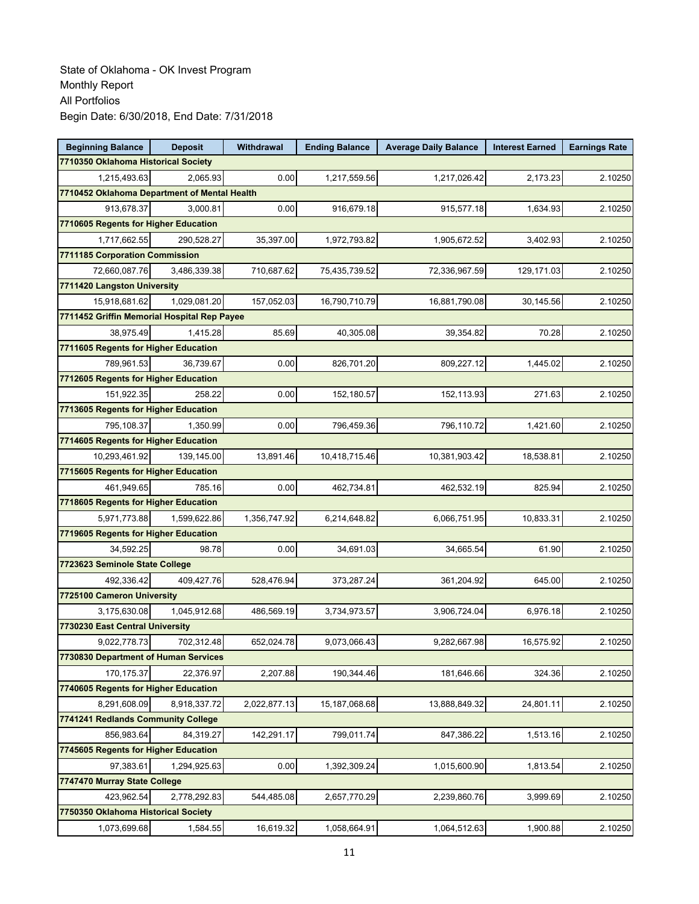| <b>Beginning Balance</b>                     | <b>Deposit</b> | Withdrawal   | <b>Ending Balance</b> | <b>Average Daily Balance</b> | <b>Interest Earned</b> | <b>Earnings Rate</b> |  |  |  |
|----------------------------------------------|----------------|--------------|-----------------------|------------------------------|------------------------|----------------------|--|--|--|
| 7710350 Oklahoma Historical Society          |                |              |                       |                              |                        |                      |  |  |  |
| 1,215,493.63                                 | 2.065.93       | 0.00         | 1,217,559.56          | 1,217,026.42                 | 2,173.23               | 2.10250              |  |  |  |
| 7710452 Oklahoma Department of Mental Health |                |              |                       |                              |                        |                      |  |  |  |
| 913,678.37                                   | 3,000.81       | 0.00         | 916,679.18            | 915,577.18                   | 1,634.93               | 2.10250              |  |  |  |
| 7710605 Regents for Higher Education         |                |              |                       |                              |                        |                      |  |  |  |
| 1,717,662.55                                 | 290,528.27     | 35,397.00    | 1,972,793.82          | 1,905,672.52                 | 3,402.93               | 2.10250              |  |  |  |
| 7711185 Corporation Commission               |                |              |                       |                              |                        |                      |  |  |  |
| 72,660,087.76                                | 3,486,339.38   | 710,687.62   | 75,435,739.52         | 72,336,967.59                | 129,171.03             | 2.10250              |  |  |  |
| 7711420 Langston University                  |                |              |                       |                              |                        |                      |  |  |  |
| 15.918.681.62                                | 1,029,081.20   | 157,052.03   | 16,790,710.79         | 16,881,790.08                | 30,145.56              | 2.10250              |  |  |  |
| 7711452 Griffin Memorial Hospital Rep Payee  |                |              |                       |                              |                        |                      |  |  |  |
| 38,975.49                                    | 1,415.28       | 85.69        | 40,305.08             | 39,354.82                    | 70.28                  | 2.10250              |  |  |  |
| 7711605 Regents for Higher Education         |                |              |                       |                              |                        |                      |  |  |  |
| 789,961.53                                   | 36,739.67      | 0.00         | 826,701.20            | 809,227.12                   | 1,445.02               | 2.10250              |  |  |  |
| 7712605 Regents for Higher Education         |                |              |                       |                              |                        |                      |  |  |  |
| 151,922.35                                   | 258.22         | 0.00         | 152,180.57            | 152,113.93                   | 271.63                 | 2.10250              |  |  |  |
| 7713605 Regents for Higher Education         |                |              |                       |                              |                        |                      |  |  |  |
| 795,108.37                                   | 1,350.99       | 0.00         | 796,459.36            | 796,110.72                   | 1,421.60               | 2.10250              |  |  |  |
| 7714605 Regents for Higher Education         |                |              |                       |                              |                        |                      |  |  |  |
| 10,293,461.92                                | 139,145.00     | 13,891.46    | 10,418,715.46         | 10,381,903.42                | 18,538.81              | 2.10250              |  |  |  |
| 7715605 Regents for Higher Education         |                |              |                       |                              |                        |                      |  |  |  |
| 461,949.65                                   | 785.16         | 0.00         | 462,734.81            | 462,532.19                   | 825.94                 | 2.10250              |  |  |  |
| 7718605 Regents for Higher Education         |                |              |                       |                              |                        |                      |  |  |  |
| 5,971,773.88                                 | 1,599,622.86   | 1,356,747.92 | 6,214,648.82          | 6,066,751.95                 | 10,833.31              | 2.10250              |  |  |  |
| 7719605 Regents for Higher Education         |                |              |                       |                              |                        |                      |  |  |  |
| 34,592.25                                    | 98.78          | 0.00         | 34,691.03             | 34,665.54                    | 61.90                  | 2.10250              |  |  |  |
| 7723623 Seminole State College               |                |              |                       |                              |                        |                      |  |  |  |
| 492,336.42                                   | 409,427.76     | 528,476.94   | 373,287.24            | 361,204.92                   | 645.00                 | 2.10250              |  |  |  |
| 7725100 Cameron University                   |                |              |                       |                              |                        |                      |  |  |  |
| 3,175,630.08                                 | 1,045,912.68   | 486,569.19   | 3,734,973.57          | 3,906,724.04                 | 6,976.18               | 2.10250              |  |  |  |
| 7730230 East Central University              |                |              |                       |                              |                        |                      |  |  |  |
| 9,022,778.73                                 | 702,312.48     | 652,024.78   | 9,073,066.43          | 9,282,667.98                 | 16,575.92              | 2.10250              |  |  |  |
| 7730830 Department of Human Services         |                |              |                       |                              |                        |                      |  |  |  |
| 170,175.37                                   | 22,376.97      | 2,207.88     | 190,344.46            | 181,646.66                   | 324.36                 | 2.10250              |  |  |  |
| 7740605 Regents for Higher Education         |                |              |                       |                              |                        |                      |  |  |  |
| 8.291.608.09                                 | 8,918,337.72   | 2,022,877.13 | 15, 187, 068.68       | 13,888,849.32                | 24,801.11              | 2.10250              |  |  |  |
| 7741241 Redlands Community College           |                |              |                       |                              |                        |                      |  |  |  |
| 856,983.64                                   | 84,319.27      | 142,291.17   | 799,011.74            | 847,386.22                   | 1,513.16               | 2.10250              |  |  |  |
| 7745605 Regents for Higher Education         |                |              |                       |                              |                        |                      |  |  |  |
| 97,383.61                                    | 1,294,925.63   | 0.00         | 1,392,309.24          | 1,015,600.90                 | 1,813.54               | 2.10250              |  |  |  |
| 7747470 Murray State College                 |                |              |                       |                              |                        |                      |  |  |  |
| 423,962.54                                   | 2,778,292.83   | 544,485.08   | 2,657,770.29          | 2,239,860.76                 | 3,999.69               | 2.10250              |  |  |  |
| 7750350 Oklahoma Historical Society          |                |              |                       |                              |                        |                      |  |  |  |
| 1,073,699.68                                 | 1,584.55       | 16,619.32    | 1,058,664.91          | 1,064,512.63                 | 1,900.88               | 2.10250              |  |  |  |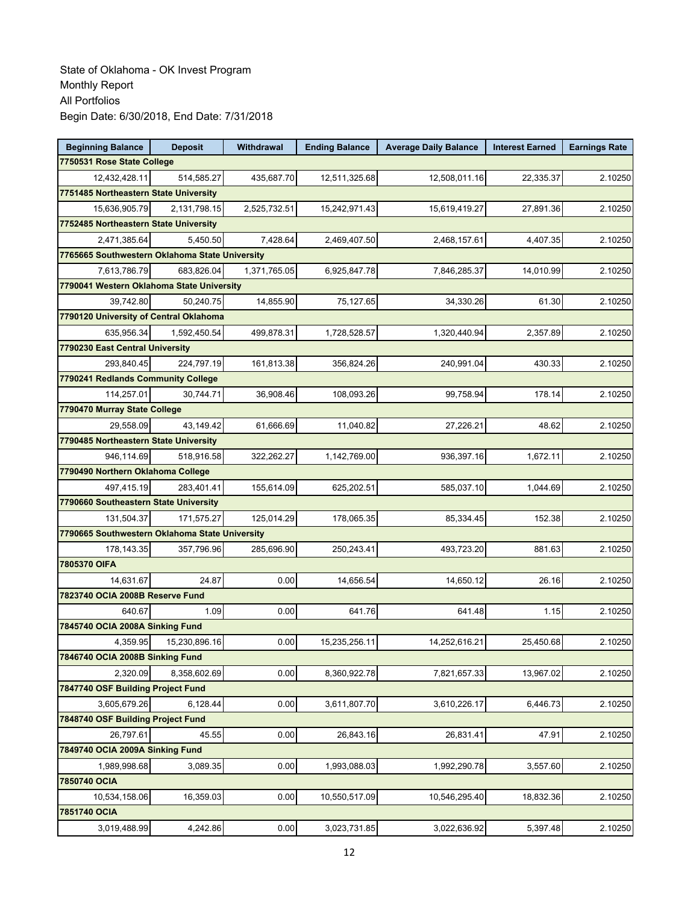| <b>Beginning Balance</b>                       | <b>Deposit</b> | <b>Withdrawal</b> | <b>Ending Balance</b> | <b>Average Daily Balance</b> | <b>Interest Earned</b> | <b>Earnings Rate</b> |
|------------------------------------------------|----------------|-------------------|-----------------------|------------------------------|------------------------|----------------------|
| 7750531 Rose State College                     |                |                   |                       |                              |                        |                      |
| 12,432,428.11                                  | 514,585.27     | 435,687.70        | 12,511,325.68         | 12,508,011.16                | 22,335.37              | 2.10250              |
| 7751485 Northeastern State University          |                |                   |                       |                              |                        |                      |
| 15,636,905.79                                  | 2,131,798.15   | 2,525,732.51      | 15,242,971.43         | 15,619,419.27                | 27,891.36              | 2.10250              |
| 7752485 Northeastern State University          |                |                   |                       |                              |                        |                      |
| 2,471,385.64                                   | 5,450.50       | 7,428.64          | 2,469,407.50          | 2,468,157.61                 | 4,407.35               | 2.10250              |
| 7765665 Southwestern Oklahoma State University |                |                   |                       |                              |                        |                      |
| 7,613,786.79                                   | 683,826.04     | 1,371,765.05      | 6,925,847.78          | 7,846,285.37                 | 14,010.99              | 2.10250              |
| 7790041 Western Oklahoma State University      |                |                   |                       |                              |                        |                      |
| 39,742.80                                      | 50,240.75      | 14,855.90         | 75,127.65             | 34,330.26                    | 61.30                  | 2.10250              |
| 7790120 University of Central Oklahoma         |                |                   |                       |                              |                        |                      |
| 635,956.34                                     | 1,592,450.54   | 499,878.31        | 1,728,528.57          | 1,320,440.94                 | 2,357.89               | 2.10250              |
| 7790230 East Central University                |                |                   |                       |                              |                        |                      |
| 293,840.45                                     | 224,797.19     | 161,813.38        | 356,824.26            | 240,991.04                   | 430.33                 | 2.10250              |
| 7790241 Redlands Community College             |                |                   |                       |                              |                        |                      |
| 114,257.01                                     | 30,744.71      | 36,908.46         | 108,093.26            | 99,758.94                    | 178.14                 | 2.10250              |
| 7790470 Murray State College                   |                |                   |                       |                              |                        |                      |
| 29.558.09                                      | 43,149.42      | 61,666.69         | 11,040.82             | 27,226.21                    | 48.62                  | 2.10250              |
| 7790485 Northeastern State University          |                |                   |                       |                              |                        |                      |
| 946,114.69                                     | 518,916.58     | 322,262.27        | 1,142,769.00          | 936.397.16                   | 1,672.11               | 2.10250              |
| 7790490 Northern Oklahoma College              |                |                   |                       |                              |                        |                      |
| 497,415.19                                     | 283,401.41     | 155,614.09        | 625,202.51            | 585,037.10                   | 1,044.69               | 2.10250              |
| 7790660 Southeastern State University          |                |                   |                       |                              |                        |                      |
| 131,504.37                                     | 171,575.27     | 125,014.29        | 178,065.35            | 85,334.45                    | 152.38                 | 2.10250              |
| 7790665 Southwestern Oklahoma State University |                |                   |                       |                              |                        |                      |
| 178,143.35                                     | 357,796.96     | 285,696.90        | 250,243.41            | 493,723.20                   | 881.63                 | 2.10250              |
| 7805370 OIFA                                   |                |                   |                       |                              |                        |                      |
| 14,631.67                                      | 24.87          | 0.00              | 14.656.54             | 14,650.12                    | 26.16                  | 2.10250              |
| 7823740 OCIA 2008B Reserve Fund                |                |                   |                       |                              |                        |                      |
| 640.67                                         | 1.09           | 0.00              | 641.76                | 641.48                       | 1.15                   | 2.10250              |
| 7845740 OCIA 2008A Sinking Fund                |                |                   |                       |                              |                        |                      |
| 4,359.95                                       | 15,230,896.16  | 0.00              | 15,235,256.11         | 14,252,616.21                | 25,450.68              | 2.10250              |
| 7846740 OCIA 2008B Sinking Fund                |                |                   |                       |                              |                        |                      |
| 2,320.09                                       | 8,358,602.69   | 0.00              | 8,360,922.78          | 7,821,657.33                 | 13,967.02              | 2.10250              |
| 7847740 OSF Building Project Fund              |                |                   |                       |                              |                        |                      |
| 3,605,679.26                                   | 6,128.44       | 0.00              | 3,611,807.70          | 3,610,226.17                 | 6,446.73               | 2.10250              |
| 7848740 OSF Building Project Fund              |                |                   |                       |                              |                        |                      |
| 26,797.61                                      | 45.55          | 0.00              | 26,843.16             | 26,831.41                    | 47.91                  | 2.10250              |
| 7849740 OCIA 2009A Sinking Fund                |                |                   |                       |                              |                        |                      |
| 1,989,998.68                                   | 3,089.35       | 0.00              | 1,993,088.03          | 1,992,290.78                 | 3,557.60               | 2.10250              |
| 7850740 OCIA                                   |                |                   |                       |                              |                        |                      |
| 10,534,158.06                                  | 16,359.03      | 0.00              | 10,550,517.09         | 10,546,295.40                | 18,832.36              | 2.10250              |
| 7851740 OCIA                                   |                |                   |                       |                              |                        |                      |
| 3,019,488.99                                   | 4,242.86       | 0.00              | 3,023,731.85          | 3,022,636.92                 | 5,397.48               | 2.10250              |